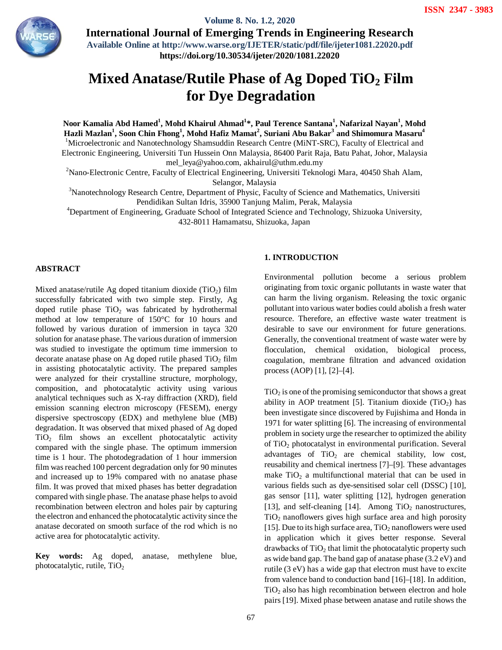

**Volume 8. No. 1.2, 2020** 

**International Journal of Emerging Trends in Engineering Research Available Online at http://www.warse.org/IJETER/static/pdf/file/ijeter1081.22020.pdf https://doi.org/10.30534/ijeter/2020/1081.22020**

# **Mixed Anatase/Rutile Phase of Ag Doped TiO<sup>2</sup> Film for Dye Degradation**

**Noor Kamalia Abd Hamed<sup>1</sup> , Mohd Khairul Ahmad<sup>1</sup> \*, Paul Terence Santana<sup>1</sup> , Nafarizal Nayan<sup>1</sup> , Mohd Hazli Mazlan<sup>1</sup> , Soon Chin Fhong<sup>1</sup> , Mohd Hafiz Mamat<sup>2</sup> , Suriani Abu Bakar<sup>3</sup> and Shimomura Masaru<sup>4</sup>** <sup>1</sup>Microelectronic and Nanotechnology Shamsuddin Research Centre (MiNT-SRC), Faculty of Electrical and Electronic Engineering, Universiti Tun Hussein Onn Malaysia, 86400 Parit Raja, Batu Pahat, Johor, Malaysia mel\_leya@yahoo.com, akhairul@uthm.edu.my

<sup>2</sup>Nano-Electronic Centre, Faculty of Electrical Engineering, Universiti Teknologi Mara, 40450 Shah Alam, Selangor, Malaysia

<sup>3</sup>Nanotechnology Research Centre, Department of Physic, Faculty of Science and Mathematics, Universiti Pendidikan Sultan Idris, 35900 Tanjung Malim, Perak, Malaysia

<sup>4</sup>Department of Engineering, Graduate School of Integrated Science and Technology, Shizuoka University, 432-8011 Hamamatsu, Shizuoka, Japan

## **ABSTRACT**

Mixed anatase/rutile Ag doped titanium dioxide  $(TiO<sub>2</sub>)$  film successfully fabricated with two simple step. Firstly, Ag doped rutile phase  $TiO<sub>2</sub>$  was fabricated by hydrothermal method at low temperature of 150°C for 10 hours and followed by various duration of immersion in tayca 320 solution for anatase phase. The various duration of immersion was studied to investigate the optimum time immersion to decorate anatase phase on Ag doped rutile phased  $TiO<sub>2</sub> film$ in assisting photocatalytic activity. The prepared samples were analyzed for their crystalline structure, morphology, composition, and photocatalytic activity using various analytical techniques such as X-ray diffraction (XRD), field emission scanning electron microscopy (FESEM), energy dispersive spectroscopy (EDX) and methylene blue (MB) degradation. It was observed that mixed phased of Ag doped  $TiO<sub>2</sub>$  film shows an excellent photocatalytic activity compared with the single phase. The optimum immersion time is 1 hour. The photodegradation of 1 hour immersion film was reached 100 percent degradation only for 90 minutes and increased up to 19% compared with no anatase phase film. It was proved that mixed phases has better degradation compared with single phase. The anatase phase helps to avoid recombination between electron and holes pair by capturing the electron and enhanced the photocatalytic activity since the anatase decorated on smooth surface of the rod which is no active area for photocatalytic activity.

**Key words:** Ag doped, anatase, methylene blue, photocatalytic, rutile, TiO<sub>2</sub>

# **1. INTRODUCTION**

Environmental pollution become a serious problem originating from toxic organic pollutants in waste water that can harm the living organism. Releasing the toxic organic pollutant into various water bodies could abolish a fresh water resource. Therefore, an effective waste water treatment is desirable to save our environment for future generations. Generally, the conventional treatment of waste water were by flocculation, chemical oxidation, biological process, coagulation, membrane filtration and advanced oxidation process (AOP) [1], [2]–[4].

 $TiO<sub>2</sub>$  is one of the promising semiconductor that shows a great ability in AOP treatment [5]. Titanium dioxide  $(TiO<sub>2</sub>)$  has been investigate since discovered by Fujishima and Honda in 1971 for water splitting [6]. The increasing of environmental problem in society urge the researcher to optimized the ability of TiO<sub>2</sub> photocatalyst in environmental purification. Several advantages of  $TiO<sub>2</sub>$  are chemical stability, low cost, reusability and chemical inertness [7]–[9]. These advantages make  $TiO<sub>2</sub>$  a multifunctional material that can be used in various fields such as dye-sensitised solar cell (DSSC) [10], gas sensor [11], water splitting [12], hydrogen generation [13], and self-cleaning [14]. Among  $TiO<sub>2</sub>$  nanostructures,  $TiO<sub>2</sub>$  nanoflowers gives high surface area and high porosity [15]. Due to its high surface area,  $TiO<sub>2</sub>$  nanoflowers were used in application which it gives better response. Several  $drawbacks of TiO<sub>2</sub> that limit the photocatalytic property such$ as wide band gap. The band gap of anatase phase (3.2 eV) and rutile (3 eV) has a wide gap that electron must have to excite from valence band to conduction band [16]–[18]. In addition,  $TiO<sub>2</sub>$  also has high recombination between electron and hole pairs [19]. Mixed phase between anatase and rutile shows the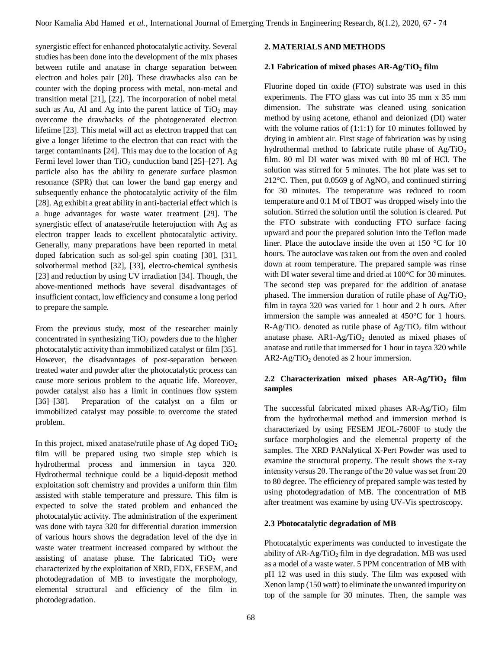synergistic effect for enhanced photocatalytic activity. Several studies has been done into the development of the mix phases between rutile and anatase in charge separation between electron and holes pair [20]. These drawbacks also can be counter with the doping process with metal, non-metal and transition metal [21], [22]. The incorporation of nobel metal such as Au, Al and Ag into the parent lattice of  $TiO<sub>2</sub>$  may overcome the drawbacks of the photogenerated electron lifetime [23]. This metal will act as electron trapped that can give a longer lifetime to the electron that can react with the target contaminants [24]. This may due to the location of Ag Fermi level lower than  $TiO<sub>2</sub>$  conduction band [25]–[27]. Ag particle also has the ability to generate surface plasmon resonance (SPR) that can lower the band gap energy and subsequently enhance the photocatalytic activity of the film [28]. Ag exhibit a great ability in anti-bacterial effect which is a huge advantages for waste water treatment [29]. The synergistic effect of anatase/rutile heterojuction with Ag as electron trapper leads to excellent photocatalytic activity. Generally, many preparations have been reported in metal doped fabrication such as sol-gel spin coating [30], [31], solvothermal method [32], [33], electro-chemical synthesis [23] and reduction by using UV irradiation [34]. Though, the above-mentioned methods have several disadvantages of insufficient contact, low efficiency and consume a long period to prepare the sample.

From the previous study, most of the researcher mainly concentrated in synthesizing  $TiO<sub>2</sub>$  powders due to the higher photocatalytic activity than immobilized catalyst or film [35]. However, the disadvantages of post-separation between treated water and powder after the photocatalytic process can cause more serious problem to the aquatic life. Moreover, powder catalyst also has a limit in continues flow system [36]–[38]. Preparation of the catalyst on a film or immobilized catalyst may possible to overcome the stated problem.

In this project, mixed anatase/rutile phase of Ag doped  $TiO<sub>2</sub>$ film will be prepared using two simple step which is hydrothermal process and immersion in tayca 320. Hydrothermal technique could be a liquid-deposit method exploitation soft chemistry and provides a uniform thin film assisted with stable temperature and pressure. This film is expected to solve the stated problem and enhanced the photocatalytic activity. The administration of the experiment was done with tayca 320 for differential duration immersion of various hours shows the degradation level of the dye in waste water treatment increased compared by without the assisting of anatase phase. The fabricated  $TiO<sub>2</sub>$  were characterized by the exploitation of XRD, EDX, FESEM, and photodegradation of MB to investigate the morphology, elemental structural and efficiency of the film in photodegradation.

## **2. MATERIALS AND METHODS**

## **2.1 Fabrication of mixed phases AR-Ag/TiO<sup>2</sup> film**

Fluorine doped tin oxide (FTO) substrate was used in this experiments. The FTO glass was cut into 35 mm x 35 mm dimension. The substrate was cleaned using sonication method by using acetone, ethanol and deionized (DI) water with the volume ratios of  $(1:1:1)$  for 10 minutes followed by drying in ambient air. First stage of fabrication was by using hydrothermal method to fabricate rutile phase of  $\text{Ag/TiO}_2$ film. 80 ml DI water was mixed with 80 ml of HCl. The solution was stirred for 5 minutes. The hot plate was set to 212 $^{\circ}$ C. Then, put 0.0569 g of AgNO<sub>3</sub> and continued stirring for 30 minutes. The temperature was reduced to room temperature and 0.1 M of TBOT was dropped wisely into the solution. Stirred the solution until the solution is cleared. Put the FTO substrate with conducting FTO surface facing upward and pour the prepared solution into the Teflon made liner. Place the autoclave inside the oven at 150 °C for 10 hours. The autoclave was taken out from the oven and cooled down at room temperature. The prepared sample was rinse with DI water several time and dried at 100°C for 30 minutes. The second step was prepared for the addition of anatase phased. The immersion duration of rutile phase of  $\text{Ag/TiO}_2$ film in tayca 320 was varied for 1 hour and 2 h ours. After immersion the sample was annealed at 450°C for 1 hours.  $R-Ag/TiO<sub>2</sub>$  denoted as rutile phase of  $Ag/TiO<sub>2</sub>$  film without anatase phase.  $AR1-Ag/TiO<sub>2</sub>$  denoted as mixed phases of anatase and rutile that immersed for 1 hour in tayca 320 while  $AR2-Ag/TiO<sub>2</sub>$  denoted as 2 hour immersion.

# **2.2 Characterization mixed phases AR-Ag/TiO<sup>2</sup> film samples**

The successful fabricated mixed phases  $AR-Ag/TiO<sub>2</sub>$  film from the hydrothermal method and immersion method is characterized by using FESEM JEOL-7600F to study the surface morphologies and the elemental property of the samples. The XRD PANalytical X-Pert Powder was used to examine the structural property. The result shows the x-ray intensity versus 2θ. The range of the 2θ value was set from 20 to 80 degree. The efficiency of prepared sample was tested by using photodegradation of MB. The concentration of MB after treatment was examine by using UV-Vis spectroscopy.

## **2.3 Photocatalytic degradation of MB**

Photocatalytic experiments was conducted to investigate the ability of  $AR-Ag/TiO<sub>2</sub>$  film in dye degradation. MB was used as a model of a waste water. 5 PPM concentration of MB with pH 12 was used in this study. The film was exposed with Xenon lamp (150 watt) to eliminate the unwanted impurity on top of the sample for 30 minutes. Then, the sample was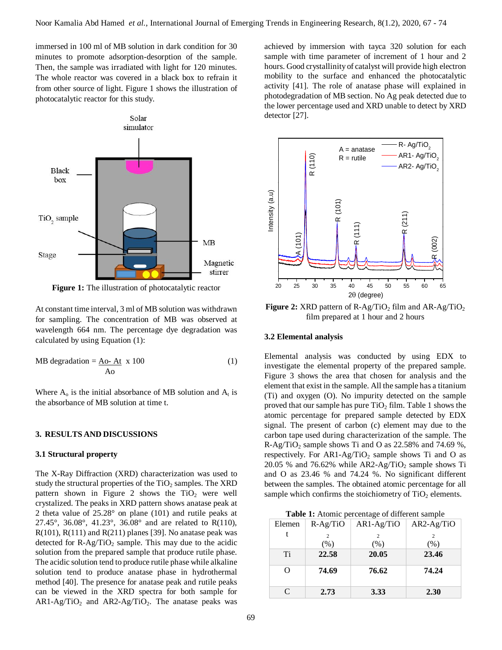immersed in 100 ml of MB solution in dark condition for 30 minutes to promote adsorption-desorption of the sample. Then, the sample was irradiated with light for 120 minutes. The whole reactor was covered in a black box to refrain it from other source of light. Figure 1 shows the illustration of photocatalytic reactor for this study.



**Figure 1:** The illustration of photocatalytic reactor

At constant time interval, 3 ml of MB solution was withdrawn for sampling. The concentration of MB was observed at wavelength 664 nm. The percentage dye degradation was calculated by using Equation (1):

MB degradation = 
$$
\frac{\text{Ao- At}}{\text{Ao}}
$$
 x 100 (1)

Where  $A_0$  is the initial absorbance of MB solution and  $A_t$  is the absorbance of MB solution at time t.

#### **3. RESULTS AND DISCUSSIONS**

#### **3.1 Structural property**

The X-Ray Diffraction (XRD) characterization was used to study the structural properties of the  $TiO<sub>2</sub>$  samples. The XRD pattern shown in Figure 2 shows the  $TiO<sub>2</sub>$  were well crystalized. The peaks in XRD pattern shows anatase peak at 2 theta value of 25.28° on plane (101) and rutile peaks at 27.45°, 36.08°, 41.23°, 36.08° and are related to R(110),  $R(101)$ ,  $R(111)$  and  $R(211)$  planes [39]. No anatase peak was detected for  $R-Ag/TiO<sub>2</sub>$  sample. This may due to the acidic solution from the prepared sample that produce rutile phase. The acidic solution tend to produce rutile phase while alkaline solution tend to produce anatase phase in hydrothermal method [40]. The presence for anatase peak and rutile peaks can be viewed in the XRD spectra for both sample for  $AR1-Ag/TiO<sub>2</sub>$  and  $AR2-Ag/TiO<sub>2</sub>$ . The anatase peaks was

achieved by immersion with tayca 320 solution for each sample with time parameter of increment of 1 hour and 2 hours. Good crystallinity of catalyst will provide high electron mobility to the surface and enhanced the photocatalytic activity [41]. The role of anatase phase will explained in photodegradation of MB section. No Ag peak detected due to the lower percentage used and XRD unable to detect by XRD detector [27].



**Figure 2:** XRD pattern of R-Ag/TiO<sub>2</sub> film and AR-Ag/TiO<sub>2</sub> film prepared at 1 hour and 2 hours

#### **3.2 Elemental analysis**

Elemental analysis was conducted by using EDX to investigate the elemental property of the prepared sample. Figure 3 shows the area that chosen for analysis and the element that exist in the sample. All the sample has a titanium (Ti) and oxygen (O). No impurity detected on the sample proved that our sample has pure  $TiO<sub>2</sub> film$ . Table 1 shows the atomic percentage for prepared sample detected by EDX signal. The present of carbon (c) element may due to the carbon tape used during characterization of the sample. The R-Ag/TiO<sub>2</sub> sample shows Ti and O as  $22.58\%$  and  $74.69\%$ , respectively. For  $AR1-Ag/TiO<sub>2</sub>$  sample shows Ti and O as 20.05 % and 76.62% while  $AR2-Ag/TiO<sub>2</sub>$  sample shows Ti and O as 23.46 % and 74.24 %. No significant different between the samples. The obtained atomic percentage for all sample which confirms the stoichiometry of  $TiO<sub>2</sub>$  elements.

**Table 1:** Atomic percentage of different sample

| Elemen                            | $R-Ag/TiO$ | $AR1-Ag/TiO$ | $AR2-Ag/TiO$ |
|-----------------------------------|------------|--------------|--------------|
|                                   |            | 2            | 2            |
|                                   | (% )       | (% )         | (% )         |
| Ti                                | 22.58      | 20.05        | 23.46        |
| $\scriptstyle\rm\scriptstyle{(})$ | 74.69      | 76.62        | 74.24        |
| C                                 | 2.73       | 3.33         | 2.30         |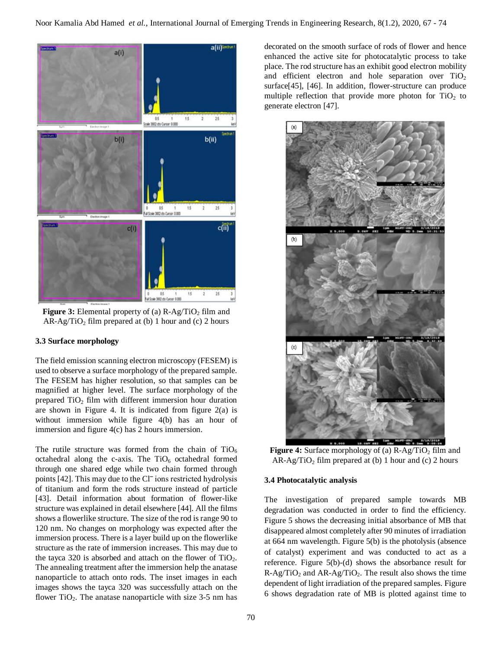

**Figure 3:** Elemental property of (a)  $R-Ag/TiO<sub>2</sub>$  film and  $AR-Ag/TiO<sub>2</sub>$  film prepared at (b) 1 hour and (c) 2 hours

## **3.3 Surface morphology**

The field emission scanning electron microscopy (FESEM) is used to observe a surface morphology of the prepared sample. The FESEM has higher resolution, so that samples can be magnified at higher level. The surface morphology of the prepared  $TiO<sub>2</sub>$  film with different immersion hour duration are shown in Figure 4. It is indicated from figure 2(a) is without immersion while figure 4(b) has an hour of immersion and figure 4(c) has 2 hours immersion.

The rutile structure was formed from the chain of  $TiO<sub>6</sub>$ octahedral along the c-axis. The  $TiO<sub>6</sub>$  octahedral formed through one shared edge while two chain formed through points [42]. This may due to the Cl<sup>-</sup> ions restricted hydrolysis of titanium and form the rods structure instead of particle [43]. Detail information about formation of flower-like structure was explained in detail elsewhere [44]. All the films shows a flowerlike structure. The size of the rod is range 90 to 120 nm. No changes on morphology was expected after the immersion process. There is a layer build up on the flowerlike structure as the rate of immersion increases. This may due to the tayca 320 is absorbed and attach on the flower of  $TiO<sub>2</sub>$ . The annealing treatment after the immersion help the anatase nanoparticle to attach onto rods. The inset images in each images shows the tayca 320 was successfully attach on the flower TiO<sub>2</sub>. The anatase nanoparticle with size  $3-5$  nm has decorated on the smooth surface of rods of flower and hence enhanced the active site for photocatalytic process to take place. The rod structure has an exhibit good electron mobility and efficient electron and hole separation over  $TiO<sub>2</sub>$ surface[45], [46]. In addition, flower-structure can produce multiple reflection that provide more photon for  $TiO<sub>2</sub>$  to generate electron [47].



**Figure 4:** Surface morphology of (a) R-Ag/TiO<sub>2</sub> film and  $AR-Ag/TiO<sub>2</sub>$  film prepared at (b) 1 hour and (c) 2 hours

## **3.4 Photocatalytic analysis**

The investigation of prepared sample towards MB degradation was conducted in order to find the efficiency. Figure 5 shows the decreasing initial absorbance of MB that disappeared almost completely after 90 minutes of irradiation at 664 nm wavelength. Figure 5(b) is the photolysis (absence of catalyst) experiment and was conducted to act as a reference. Figure 5(b)-(d) shows the absorbance result for  $R-Ag/TiO<sub>2</sub>$  and  $AR-Ag/TiO<sub>2</sub>$ . The result also shows the time dependent of light irradiation of the prepared samples. Figure 6 shows degradation rate of MB is plotted against time to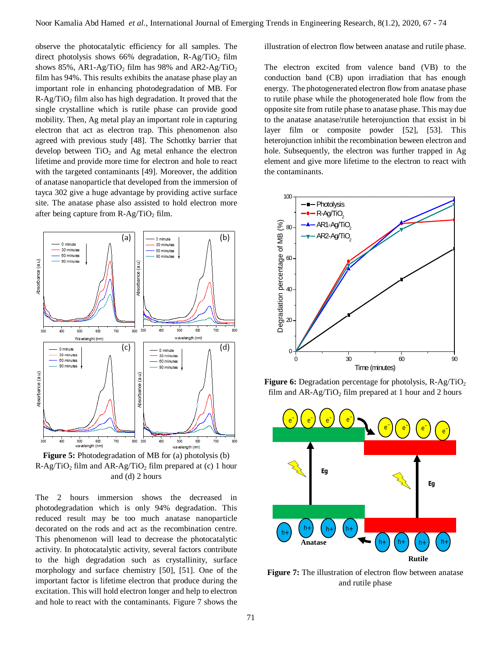observe the photocatalytic efficiency for all samples. The direct photolysis shows 66% degradation,  $R-Ag/TiO<sub>2</sub>$  film shows 85%, AR1-Ag/TiO<sub>2</sub> film has 98% and AR2-Ag/TiO<sub>2</sub> film has 94%. This results exhibits the anatase phase play an important role in enhancing photodegradation of MB. For  $R-Ag/TiO<sub>2</sub>$  film also has high degradation. It proved that the single crystalline which is rutile phase can provide good mobility. Then, Ag metal play an important role in capturing electron that act as electron trap. This phenomenon also agreed with previous study [48]. The Schottky barrier that develop between  $TiO<sub>2</sub>$  and Ag metal enhance the electron lifetime and provide more time for electron and hole to react with the targeted contaminants [49]. Moreover, the addition of anatase nanoparticle that developed from the immersion of tayca 302 give a huge advantage by providing active surface site. The anatase phase also assisted to hold electron more after being capture from  $R-Ag/TiO<sub>2</sub>$  film.



**Figure 5:** Photodegradation of MB for (a) photolysis (b)  $R-Ag/TiO<sub>2</sub>$  film and  $AR-Ag/TiO<sub>2</sub>$  film prepared at (c) 1 hour and (d) 2 hours

The 2 hours immersion shows the decreased in photodegradation which is only 94% degradation. This reduced result may be too much anatase nanoparticle decorated on the rods and act as the recombination centre. This phenomenon will lead to decrease the photocatalytic activity. In photocatalytic activity, several factors contribute to the high degradation such as crystallinity, surface morphology and surface chemistry [50], [51]. One of the important factor is lifetime electron that produce during the excitation. This will hold electron longer and help to electron and hole to react with the contaminants. Figure 7 shows the

illustration of electron flow between anatase and rutile phase.

The electron excited from valence band (VB) to the conduction band (CB) upon irradiation that has enough energy. The photogenerated electron flow from anatase phase to rutile phase while the photogenerated hole flow from the opposite site from rutile phase to anatase phase. This may due to the anatase anatase/rutile heterojunction that exsist in bi layer film or composite powder [52], [53]. This heterojunction inhibit the recombination beween electron and hole. Subsequently, the electron was further trapped in Ag element and give more lifetime to the electron to react with the contaminants.



**Figure 6:** Degradation percentage for photolysis, R-Ag/TiO<sub>2</sub> film and  $AR-Ag/TiO<sub>2</sub>$  film prepared at 1 hour and 2 hours



**Figure 7:** The illustration of electron flow between anatase and rutile phase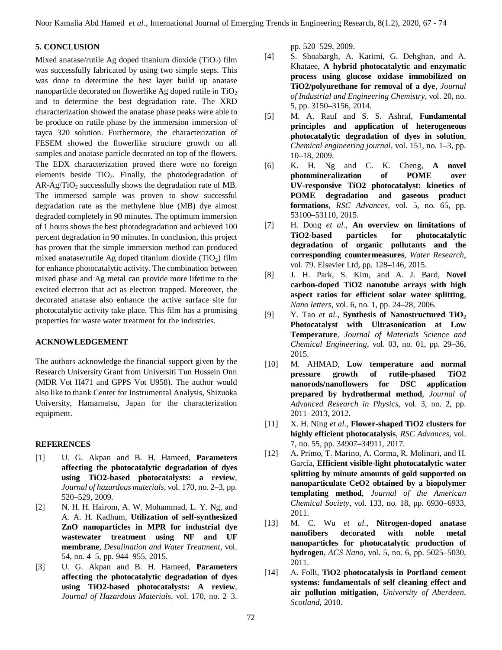Noor Kamalia Abd Hamed *et al.*, International Journal of Emerging Trends in Engineering Research, 8(1.2), 2020, 67 - 74

## **5. CONCLUSION**

Mixed anatase/rutile Ag doped titanium dioxide  $(TiO<sub>2</sub>)$  film was successfully fabricated by using two simple steps. This was done to determine the best layer build up anatase nanoparticle decorated on flowerlike Ag doped rutile in  $TiO<sub>2</sub>$ and to determine the best degradation rate. The XRD characterization showed the anatase phase peaks were able to be produce on rutile phase by the immersion immersion of tayca 320 solution. Furthermore, the characterization of FESEM showed the flowerlike structure growth on all samples and anatase particle decorated on top of the flowers. The EDX characterization proved there were no foreign elements beside  $TiO<sub>2</sub>$ . Finally, the photodegradation of  $AR-Ag/TiO<sub>2</sub>$  successfully shows the degradation rate of MB. The immersed sample was proven to show successful degradation rate as the methylene blue (MB) dye almost degraded completely in 90 minutes. The optimum immersion of 1 hours shows the best photodegradation and achieved 100 percent degradation in 90 minutes. In conclusion, this project has proven that the simple immersion method can produced mixed anatase/rutile Ag doped titanium dioxide  $(TiO<sub>2</sub>)$  film for enhance photocatalytic activity. The combination between mixed phase and Ag metal can provide more lifetime to the excited electron that act as electron trapped. Moreover, the decorated anatase also enhance the active surface site for photocatalytic activity take place. This film has a promising properties for waste water treatment for the industries.

## **ACKNOWLEDGEMENT**

The authors acknowledge the financial support given by the Research University Grant from Universiti Tun Hussein Onn (MDR Vot H471 and GPPS Vot U958). The author would also like to thank Center for Instrumental Analysis, Shizuoka University, Hamamatsu, Japan for the characterization equipment.

## **REFERENCES**

- [1] U. G. Akpan and B. H. Hameed, **Parameters affecting the photocatalytic degradation of dyes using TiO2-based photocatalysts: a review**, *Journal of hazardous materials*, vol. 170, no. 2–3, pp. 520–529, 2009.
- [2] N. H. H. Hairom, A. W. Mohammad, L. Y. Ng, and A. A. H. Kadhum, **Utilization of self-synthesized ZnO nanoparticles in MPR for industrial dye wastewater treatment using NF and UF membrane**, *Desalination and Water Treatment*, vol. 54, no. 4–5, pp. 944–955, 2015.
- [3] U. G. Akpan and B. H. Hameed, **Parameters affecting the photocatalytic degradation of dyes using TiO2-based photocatalysts: A review**, *Journal of Hazardous Materials*, vol. 170, no. 2–3.

pp. 520–529, 2009.

- [4] S. Shoabargh, A. Karimi, G. Dehghan, and A. Khataee, **A hybrid photocatalytic and enzymatic process using glucose oxidase immobilized on TiO2/polyurethane for removal of a dye**, *Journal of Industrial and Engineering Chemistry*, vol. 20, no. 5, pp. 3150–3156, 2014.
- [5] M. A. Rauf and S. S. Ashraf, **Fundamental principles and application of heterogeneous photocatalytic degradation of dyes in solution**, *Chemical engineering journal*, vol. 151, no. 1–3, pp. 10–18, 2009.
- [6] K. H. Ng and C. K. Cheng, **A novel photomineralization of POME over UV-responsive TiO2 photocatalyst: kinetics of POME degradation and gaseous product formations**, *RSC Advances*, vol. 5, no. 65, pp. 53100–53110, 2015.
- [7] H. Dong *et al.*, **An overview on limitations of TiO2-based particles for photocatalytic degradation of organic pollutants and the corresponding countermeasures**, *Water Research*, vol. 79. Elsevier Ltd, pp. 128–146, 2015.
- [8] J. H. Park, S. Kim, and A. J. Bard, **Novel carbon-doped TiO2 nanotube arrays with high aspect ratios for efficient solar water splitting**, *Nano letters*, vol. 6, no. 1, pp. 24–28, 2006.
- [9] Y. Tao *et al.*, **Synthesis of Nanostructured TiO<sup>2</sup> Photocatalyst with Ultrasonication at Low Temperature**, *Journal of Materials Science and Chemical Engineering*, vol. 03, no. 01, pp. 29–36, 2015.
- [10] M. AHMAD, **Low temperature and normal pressure growth of rutile-phased TiO2 nanorods/nanoflowers for DSC application prepared by hydrothermal method**, *Journal of Advanced Research in Physics*, vol. 3, no. 2, pp. 2011–2013, 2012.
- [11] X. H. Ning *et al.*, **Flower-shaped TiO2 clusters for highly efficient photocatalysis**, *RSC Advances*, vol. 7, no. 55, pp. 34907–34911, 2017.
- [12] A. Primo, T. Marino, A. Corma, R. Molinari, and H. García, **Efficient visible-light photocatalytic water splitting by minute amounts of gold supported on nanoparticulate CeO2 obtained by a biopolymer templating method**, *Journal of the American Chemical Society*, vol. 133, no. 18, pp. 6930–6933, 2011.
- [13] M. C. Wu *et al.*, **Nitrogen-doped anatase nanofibers decorated with noble metal nanoparticles for photocatalytic production of hydrogen**, *ACS Nano*, vol. 5, no. 6, pp. 5025–5030, 2011.
- [14] A. Folli, **TiO2 photocatalysis in Portland cement systems: fundamentals of self cleaning effect and air pollution mitigation**, *University of Aberdeen, Scotland*, 2010.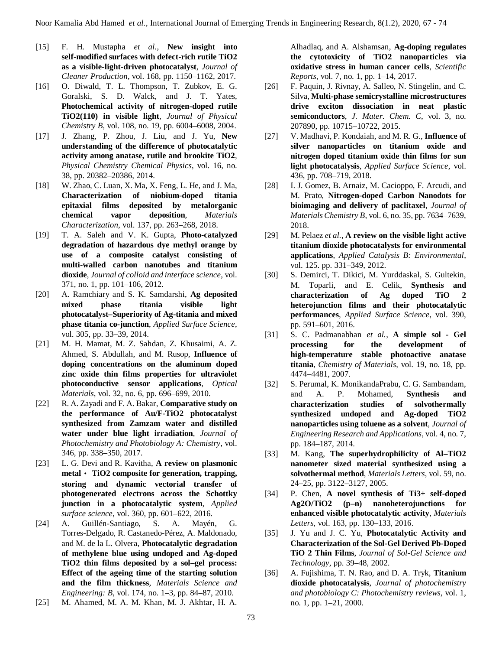- [15] F. H. Mustapha *et al.*, **New insight into self-modified surfaces with defect-rich rutile TiO2 as a visible-light-driven photocatalyst**, *Journal of Cleaner Production*, vol. 168, pp. 1150–1162, 2017.
- [16] O. Diwald, T. L. Thompson, T. Zubkov, E. G. Goralski, S. D. Walck, and J. T. Yates, **Photochemical activity of nitrogen-doped rutile TiO2(110) in visible light**, *Journal of Physical Chemistry B*, vol. 108, no. 19, pp. 6004–6008, 2004.
- [17] J. Zhang, P. Zhou, J. Liu, and J. Yu, **New understanding of the difference of photocatalytic activity among anatase, rutile and brookite TiO2**, *Physical Chemistry Chemical Physics*, vol. 16, no. 38, pp. 20382–20386, 2014.
- [18] W. Zhao, C. Luan, X. Ma, X. Feng, L. He, and J. Ma, **Characterization of niobium-doped titania epitaxial films deposited by metalorganic chemical vapor deposition**, *Materials Characterization*, vol. 137, pp. 263–268, 2018.
- [19] T. A. Saleh and V. K. Gupta, **Photo-catalyzed degradation of hazardous dye methyl orange by use of a composite catalyst consisting of multi-walled carbon nanotubes and titanium dioxide**, *Journal of colloid and interface science*, vol. 371, no. 1, pp. 101–106, 2012.
- [20] A. Ramchiary and S. K. Samdarshi, **Ag deposited mixed phase titania visible light photocatalyst–Superiority of Ag-titania and mixed phase titania co-junction**, *Applied Surface Science*, vol. 305, pp. 33–39, 2014.
- [21] M. H. Mamat, M. Z. Sahdan, Z. Khusaimi, A. Z. Ahmed, S. Abdullah, and M. Rusop, **Influence of doping concentrations on the aluminum doped zinc oxide thin films properties for ultraviolet photoconductive sensor applications**, *Optical Materials*, vol. 32, no. 6, pp. 696–699, 2010.
- [22] R. A. Zayadi and F. A. Bakar, **Comparative study on the performance of Au/F-TiO2 photocatalyst synthesized from Zamzam water and distilled water under blue light irradiation**, *Journal of Photochemistry and Photobiology A: Chemistry*, vol. 346, pp. 338–350, 2017.
- [23] L. G. Devi and R. Kavitha, **A review on plasmonic metal⿿ TiO2 composite for generation, trapping, storing and dynamic vectorial transfer of photogenerated electrons across the Schottky junction in a photocatalytic system**, *Applied surface science*, vol. 360, pp. 601–622, 2016.
- [24] A. Guillén-Santiago, S. A. Mayén, G. Torres-Delgado, R. Castanedo-Pérez, A. Maldonado, and M. de la L. Olvera, **Photocatalytic degradation of methylene blue using undoped and Ag-doped TiO2 thin films deposited by a sol–gel process: Effect of the ageing time of the starting solution and the film thickness**, *Materials Science and Engineering: B*, vol. 174, no. 1–3, pp. 84–87, 2010.
- [25] M. Ahamed, M. A. M. Khan, M. J. Akhtar, H. A.

Alhadlaq, and A. Alshamsan, **Ag-doping regulates the cytotoxicity of TiO2 nanoparticles via oxidative stress in human cancer cells**, *Scientific Reports*, vol. 7, no. 1, pp. 1–14, 2017.

- [26] F. Paquin, J. Rivnay, A. Salleo, N. Stingelin, and C. Silva, **Multi-phase semicrystalline microstructures drive exciton dissociation in neat plastic semiconductors**, *J. Mater. Chem. C*, vol. 3, no. 207890, pp. 10715–10722, 2015.
- [27] V. Madhavi, P. Kondaiah, and M. R. G., **Influence of silver nanoparticles on titanium oxide and nitrogen doped titanium oxide thin films for sun light photocatalysis**, *Applied Surface Science*, vol. 436, pp. 708–719, 2018.
- [28] I. J. Gomez, B. Arnaiz, M. Cacioppo, F. Arcudi, and M. Prato, **Nitrogen-doped Carbon Nanodots for bioimaging and delivery of paclitaxel**, *Journal of Materials Chemistry B*, vol. 6, no. 35, pp. 7634–7639, 2018.
- [29] M. Pelaez *et al.*, **A review on the visible light active titanium dioxide photocatalysts for environmental applications**, *Applied Catalysis B: Environmental*, vol. 125. pp. 331–349, 2012.
- [30] S. Demirci, T. Dikici, M. Yurddaskal, S. Gultekin, M. Toparli, and E. Celik, **Synthesis and characterization of Ag doped TiO 2 heterojunction films and their photocatalytic performances**, *Applied Surface Science*, vol. 390, pp. 591–601, 2016.
- [31] S. C. Padmanabhan *et al.*, **A simple sol - Gel processing for the development of high-temperature stable photoactive anatase titania**, *Chemistry of Materials*, vol. 19, no. 18, pp. 4474–4481, 2007.
- [32] S. Perumal, K. MonikandaPrabu, C. G. Sambandam, and A. P. Mohamed, **Synthesis and characterization studies of solvothermally synthesized undoped and Ag-doped TiO2 nanoparticles using toluene as a solvent**, *Journal of Engineering Research and Applications*, vol. 4, no. 7, pp. 184–187, 2014.
- [33] M. Kang, **The superhydrophilicity of Al–TiO2 nanometer sized material synthesized using a solvothermal method**, *Materials Letters*, vol. 59, no. 24–25, pp. 3122–3127, 2005.
- [34] P. Chen, **A novel synthesis of Ti3+ self-doped Ag2O/TiO2 (p–n) nanoheterojunctions for enhanced visible photocatalytic activity**, *Materials Letters*, vol. 163, pp. 130–133, 2016.
- [35] J. Yu and J. C. Yu, **Photocatalytic Activity and Characterization of the Sol-Gel Derived Pb-Doped TiO 2 Thin Films**, *Journal of Sol-Gel Science and Technology*, pp. 39–48, 2002.
- [36] A. Fujishima, T. N. Rao, and D. A. Tryk, **Titanium dioxide photocatalysis**, *Journal of photochemistry and photobiology C: Photochemistry reviews*, vol. 1, no. 1, pp. 1–21, 2000.